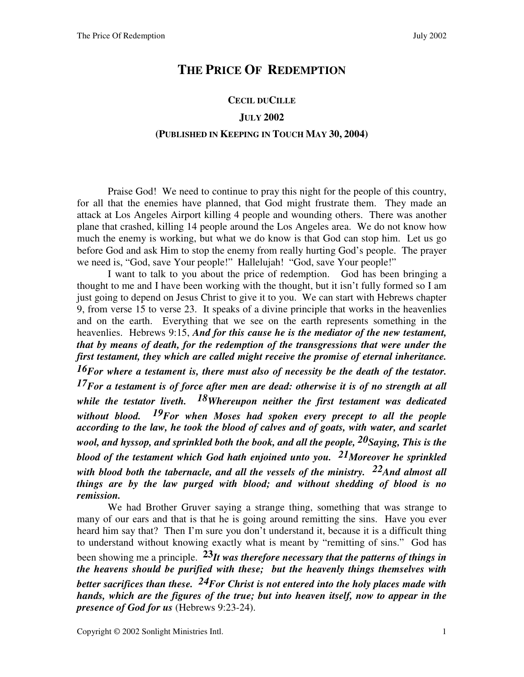# **THE PRICE OF REDEMPTION**

### **CECIL DUCILLE**

## **JULY 2002**

#### **(PUBLISHED IN KEEPING IN TOUCH MAY 30, 2004)**

 Praise God! We need to continue to pray this night for the people of this country, for all that the enemies have planned, that God might frustrate them. They made an attack at Los Angeles Airport killing 4 people and wounding others. There was another plane that crashed, killing 14 people around the Los Angeles area. We do not know how much the enemy is working, but what we do know is that God can stop him. Let us go before God and ask Him to stop the enemy from really hurting God's people. The prayer we need is, "God, save Your people!" Hallelujah! "God, save Your people!"

I want to talk to you about the price of redemption. God has been bringing a thought to me and I have been working with the thought, but it isn't fully formed so I am just going to depend on Jesus Christ to give it to you. We can start with Hebrews chapter 9, from verse 15 to verse 23. It speaks of a divine principle that works in the heavenlies and on the earth. Everything that we see on the earth represents something in the heavenlies. Hebrews 9:15, *And for this cause he is the mediator of the new testament, that by means of death, for the redemption of the transgressions that were under the first testament, they which are called might receive the promise of eternal inheritance. 16For where a testament is, there must also of necessity be the death of the testator. 17For a testament is of force after men are dead: otherwise it is of no strength at all while the testator liveth. 18Whereupon neither the first testament was dedicated without blood. 19For when Moses had spoken every precept to all the people according to the law, he took the blood of calves and of goats, with water, and scarlet wool, and hyssop, and sprinkled both the book, and all the people, 20Saying, This is the blood of the testament which God hath enjoined unto you. 21Moreover he sprinkled with blood both the tabernacle, and all the vessels of the ministry. 22And almost all things are by the law purged with blood; and without shedding of blood is no remission.*

We had Brother Gruver saying a strange thing, something that was strange to many of our ears and that is that he is going around remitting the sins. Have you ever heard him say that? Then I'm sure you don't understand it, because it is a difficult thing to understand without knowing exactly what is meant by "remitting of sins." God has been showing me a principle. **23***It was therefore necessary that the patterns of things in the heavens should be purified with these; but the heavenly things themselves with better sacrifices than these. 24For Christ is not entered into the holy places made with hands, which are the figures of the true; but into heaven itself, now to appear in the presence of God for us* (Hebrews 9:23-24).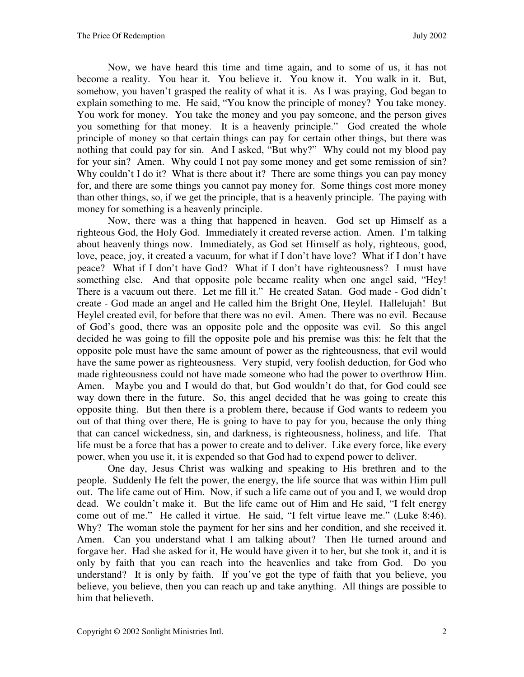Now, we have heard this time and time again, and to some of us, it has not become a reality. You hear it. You believe it. You know it. You walk in it. But, somehow, you haven't grasped the reality of what it is. As I was praying, God began to explain something to me. He said, "You know the principle of money? You take money. You work for money. You take the money and you pay someone, and the person gives you something for that money. It is a heavenly principle." God created the whole principle of money so that certain things can pay for certain other things, but there was nothing that could pay for sin. And I asked, "But why?" Why could not my blood pay for your sin? Amen. Why could I not pay some money and get some remission of sin? Why couldn't I do it? What is there about it? There are some things you can pay money for, and there are some things you cannot pay money for. Some things cost more money than other things, so, if we get the principle, that is a heavenly principle. The paying with money for something is a heavenly principle.

Now, there was a thing that happened in heaven. God set up Himself as a righteous God, the Holy God. Immediately it created reverse action. Amen. I'm talking about heavenly things now. Immediately, as God set Himself as holy, righteous, good, love, peace, joy, it created a vacuum, for what if I don't have love? What if I don't have peace? What if I don't have God? What if I don't have righteousness? I must have something else. And that opposite pole became reality when one angel said, "Hey! There is a vacuum out there. Let me fill it." He created Satan. God made - God didn't create - God made an angel and He called him the Bright One, Heylel. Hallelujah! But Heylel created evil, for before that there was no evil. Amen. There was no evil. Because of God's good, there was an opposite pole and the opposite was evil. So this angel decided he was going to fill the opposite pole and his premise was this: he felt that the opposite pole must have the same amount of power as the righteousness, that evil would have the same power as righteousness. Very stupid, very foolish deduction, for God who made righteousness could not have made someone who had the power to overthrow Him. Amen. Maybe you and I would do that, but God wouldn't do that, for God could see way down there in the future. So, this angel decided that he was going to create this opposite thing. But then there is a problem there, because if God wants to redeem you out of that thing over there, He is going to have to pay for you, because the only thing that can cancel wickedness, sin, and darkness, is righteousness, holiness, and life. That life must be a force that has a power to create and to deliver. Like every force, like every power, when you use it, it is expended so that God had to expend power to deliver.

One day, Jesus Christ was walking and speaking to His brethren and to the people. Suddenly He felt the power, the energy, the life source that was within Him pull out. The life came out of Him. Now, if such a life came out of you and I, we would drop dead. We couldn't make it. But the life came out of Him and He said, "I felt energy come out of me." He called it virtue. He said, "I felt virtue leave me." (Luke 8:46). Why? The woman stole the payment for her sins and her condition, and she received it. Amen. Can you understand what I am talking about? Then He turned around and forgave her. Had she asked for it, He would have given it to her, but she took it, and it is only by faith that you can reach into the heavenlies and take from God. Do you understand? It is only by faith. If you've got the type of faith that you believe, you believe, you believe, then you can reach up and take anything. All things are possible to him that believeth.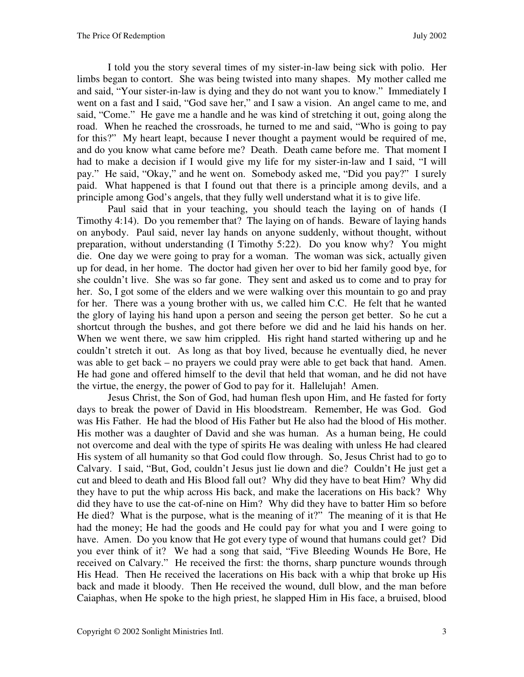I told you the story several times of my sister-in-law being sick with polio. Her limbs began to contort. She was being twisted into many shapes. My mother called me and said, "Your sister-in-law is dying and they do not want you to know." Immediately I went on a fast and I said, "God save her," and I saw a vision. An angel came to me, and said, "Come." He gave me a handle and he was kind of stretching it out, going along the road. When he reached the crossroads, he turned to me and said, "Who is going to pay for this?" My heart leapt, because I never thought a payment would be required of me, and do you know what came before me? Death. Death came before me. That moment I had to make a decision if I would give my life for my sister-in-law and I said, "I will pay." He said, "Okay," and he went on. Somebody asked me, "Did you pay?" I surely paid. What happened is that I found out that there is a principle among devils, and a principle among God's angels, that they fully well understand what it is to give life.

Paul said that in your teaching, you should teach the laying on of hands (I Timothy 4:14). Do you remember that? The laying on of hands. Beware of laying hands on anybody. Paul said, never lay hands on anyone suddenly, without thought, without preparation, without understanding (I Timothy 5:22). Do you know why? You might die. One day we were going to pray for a woman. The woman was sick, actually given up for dead, in her home. The doctor had given her over to bid her family good bye, for she couldn't live. She was so far gone. They sent and asked us to come and to pray for her. So, I got some of the elders and we were walking over this mountain to go and pray for her. There was a young brother with us, we called him C.C. He felt that he wanted the glory of laying his hand upon a person and seeing the person get better. So he cut a shortcut through the bushes, and got there before we did and he laid his hands on her. When we went there, we saw him crippled. His right hand started withering up and he couldn't stretch it out. As long as that boy lived, because he eventually died, he never was able to get back – no prayers we could pray were able to get back that hand. Amen. He had gone and offered himself to the devil that held that woman, and he did not have the virtue, the energy, the power of God to pay for it. Hallelujah! Amen.

Jesus Christ, the Son of God, had human flesh upon Him, and He fasted for forty days to break the power of David in His bloodstream. Remember, He was God. God was His Father. He had the blood of His Father but He also had the blood of His mother. His mother was a daughter of David and she was human. As a human being, He could not overcome and deal with the type of spirits He was dealing with unless He had cleared His system of all humanity so that God could flow through. So, Jesus Christ had to go to Calvary. I said, "But, God, couldn't Jesus just lie down and die? Couldn't He just get a cut and bleed to death and His Blood fall out? Why did they have to beat Him? Why did they have to put the whip across His back, and make the lacerations on His back? Why did they have to use the cat-of-nine on Him? Why did they have to batter Him so before He died? What is the purpose, what is the meaning of it?" The meaning of it is that He had the money; He had the goods and He could pay for what you and I were going to have. Amen. Do you know that He got every type of wound that humans could get? Did you ever think of it? We had a song that said, "Five Bleeding Wounds He Bore, He received on Calvary." He received the first: the thorns, sharp puncture wounds through His Head. Then He received the lacerations on His back with a whip that broke up His back and made it bloody. Then He received the wound, dull blow, and the man before Caiaphas, when He spoke to the high priest, he slapped Him in His face, a bruised, blood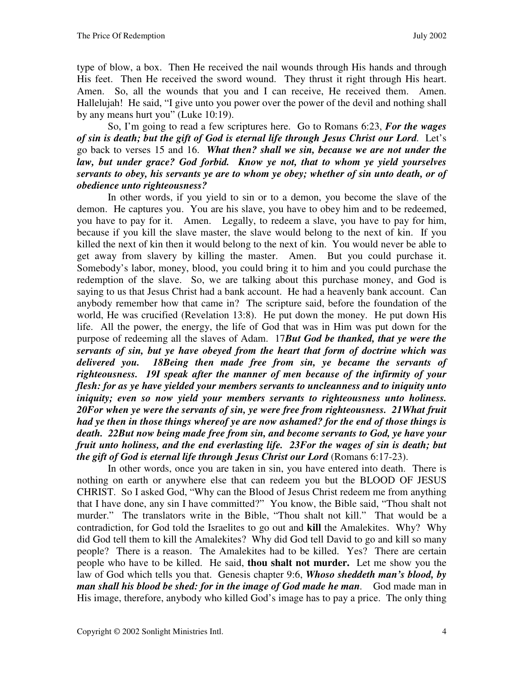type of blow, a box. Then He received the nail wounds through His hands and through His feet. Then He received the sword wound. They thrust it right through His heart. Amen. So, all the wounds that you and I can receive, He received them. Amen. Hallelujah! He said, "I give unto you power over the power of the devil and nothing shall by any means hurt you" (Luke 10:19).

So, I'm going to read a few scriptures here. Go to Romans 6:23, *For the wages of sin is death; but the gift of God is eternal life through Jesus Christ our Lord.* Let's go back to verses 15 and 16. *What then? shall we sin, because we are not under the law, but under grace? God forbid. Know ye not, that to whom ye yield yourselves servants to obey, his servants ye are to whom ye obey; whether of sin unto death, or of obedience unto righteousness?* 

In other words, if you yield to sin or to a demon, you become the slave of the demon. He captures you. You are his slave, you have to obey him and to be redeemed, you have to pay for it. Amen. Legally, to redeem a slave, you have to pay for him, because if you kill the slave master, the slave would belong to the next of kin. If you killed the next of kin then it would belong to the next of kin. You would never be able to get away from slavery by killing the master. Amen. But you could purchase it. Somebody's labor, money, blood, you could bring it to him and you could purchase the redemption of the slave. So, we are talking about this purchase money, and God is saying to us that Jesus Christ had a bank account. He had a heavenly bank account. Can anybody remember how that came in? The scripture said, before the foundation of the world, He was crucified (Revelation 13:8). He put down the money. He put down His life. All the power, the energy, the life of God that was in Him was put down for the purpose of redeeming all the slaves of Adam. 17*But God be thanked, that ye were the servants of sin, but ye have obeyed from the heart that form of doctrine which was delivered you. 18Being then made free from sin, ye became the servants of righteousness. 19I speak after the manner of men because of the infirmity of your flesh: for as ye have yielded your members servants to uncleanness and to iniquity unto iniquity; even so now yield your members servants to righteousness unto holiness. 20For when ye were the servants of sin, ye were free from righteousness. 21What fruit had ye then in those things whereof ye are now ashamed? for the end of those things is death. 22But now being made free from sin, and become servants to God, ye have your fruit unto holiness, and the end everlasting life. 23For the wages of sin is death; but the gift of God is eternal life through Jesus Christ our Lord (Romans 6:17-23).* 

In other words, once you are taken in sin, you have entered into death. There is nothing on earth or anywhere else that can redeem you but the BLOOD OF JESUS CHRIST. So I asked God, "Why can the Blood of Jesus Christ redeem me from anything that I have done, any sin I have committed?" You know, the Bible said, "Thou shalt not murder." The translators write in the Bible, "Thou shalt not kill." That would be a contradiction, for God told the Israelites to go out and **kill** the Amalekites. Why? Why did God tell them to kill the Amalekites? Why did God tell David to go and kill so many people? There is a reason. The Amalekites had to be killed. Yes? There are certain people who have to be killed. He said, **thou shalt not murder.** Let me show you the law of God which tells you that. Genesis chapter 9:6, *Whoso sheddeth man's blood, by man shall his blood be shed: for in the image of God made he man.* God made man in His image, therefore, anybody who killed God's image has to pay a price. The only thing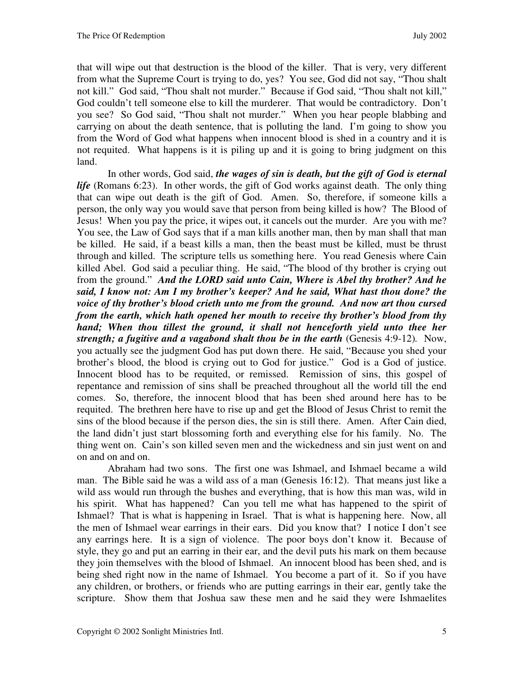that will wipe out that destruction is the blood of the killer. That is very, very different from what the Supreme Court is trying to do, yes? You see, God did not say, "Thou shalt not kill." God said, "Thou shalt not murder." Because if God said, "Thou shalt not kill," God couldn't tell someone else to kill the murderer. That would be contradictory. Don't you see? So God said, "Thou shalt not murder." When you hear people blabbing and carrying on about the death sentence, that is polluting the land. I'm going to show you from the Word of God what happens when innocent blood is shed in a country and it is not requited. What happens is it is piling up and it is going to bring judgment on this land.

In other words, God said, *the wages of sin is death, but the gift of God is eternal life* (Romans 6:23). In other words, the gift of God works against death. The only thing that can wipe out death is the gift of God. Amen. So, therefore, if someone kills a person, the only way you would save that person from being killed is how? The Blood of Jesus! When you pay the price, it wipes out, it cancels out the murder. Are you with me? You see, the Law of God says that if a man kills another man, then by man shall that man be killed. He said, if a beast kills a man, then the beast must be killed, must be thrust through and killed. The scripture tells us something here. You read Genesis where Cain killed Abel. God said a peculiar thing. He said, "The blood of thy brother is crying out from the ground." *And the LORD said unto Cain, Where is Abel thy brother? And he said, I know not: Am I my brother's keeper? And he said, What hast thou done? the voice of thy brother's blood crieth unto me from the ground. And now art thou cursed from the earth, which hath opened her mouth to receive thy brother's blood from thy hand;* When thou tillest the ground, it shall not henceforth yield unto thee her *strength; a fugitive and a vagabond shalt thou be in the earth* (Genesis 4:9-12)*.* Now, you actually see the judgment God has put down there. He said, "Because you shed your brother's blood, the blood is crying out to God for justice." God is a God of justice. Innocent blood has to be requited, or remissed. Remission of sins, this gospel of repentance and remission of sins shall be preached throughout all the world till the end comes. So, therefore, the innocent blood that has been shed around here has to be requited. The brethren here have to rise up and get the Blood of Jesus Christ to remit the sins of the blood because if the person dies, the sin is still there. Amen. After Cain died, the land didn't just start blossoming forth and everything else for his family. No. The thing went on. Cain's son killed seven men and the wickedness and sin just went on and on and on and on.

Abraham had two sons. The first one was Ishmael, and Ishmael became a wild man. The Bible said he was a wild ass of a man (Genesis 16:12). That means just like a wild ass would run through the bushes and everything, that is how this man was, wild in his spirit. What has happened? Can you tell me what has happened to the spirit of Ishmael? That is what is happening in Israel. That is what is happening here. Now, all the men of Ishmael wear earrings in their ears. Did you know that? I notice I don't see any earrings here. It is a sign of violence. The poor boys don't know it. Because of style, they go and put an earring in their ear, and the devil puts his mark on them because they join themselves with the blood of Ishmael. An innocent blood has been shed, and is being shed right now in the name of Ishmael. You become a part of it. So if you have any children, or brothers, or friends who are putting earrings in their ear, gently take the scripture. Show them that Joshua saw these men and he said they were Ishmaelites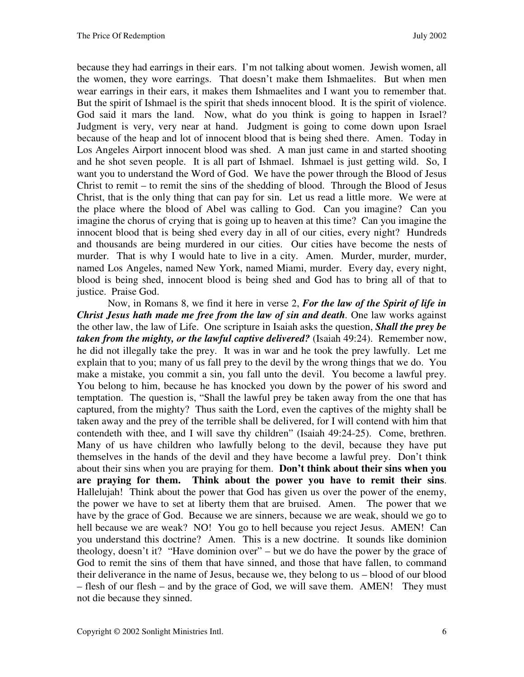because they had earrings in their ears. I'm not talking about women. Jewish women, all the women, they wore earrings. That doesn't make them Ishmaelites. But when men wear earrings in their ears, it makes them Ishmaelites and I want you to remember that. But the spirit of Ishmael is the spirit that sheds innocent blood. It is the spirit of violence. God said it mars the land. Now, what do you think is going to happen in Israel? Judgment is very, very near at hand. Judgment is going to come down upon Israel because of the heap and lot of innocent blood that is being shed there. Amen. Today in Los Angeles Airport innocent blood was shed. A man just came in and started shooting and he shot seven people. It is all part of Ishmael. Ishmael is just getting wild. So, I want you to understand the Word of God. We have the power through the Blood of Jesus Christ to remit – to remit the sins of the shedding of blood. Through the Blood of Jesus Christ, that is the only thing that can pay for sin. Let us read a little more. We were at the place where the blood of Abel was calling to God. Can you imagine? Can you imagine the chorus of crying that is going up to heaven at this time? Can you imagine the innocent blood that is being shed every day in all of our cities, every night? Hundreds and thousands are being murdered in our cities. Our cities have become the nests of murder. That is why I would hate to live in a city. Amen. Murder, murder, murder, named Los Angeles, named New York, named Miami, murder. Every day, every night, blood is being shed, innocent blood is being shed and God has to bring all of that to justice. Praise God.

Now, in Romans 8, we find it here in verse 2, *For the law of the Spirit of life in Christ Jesus hath made me free from the law of sin and death.* One law works against the other law, the law of Life. One scripture in Isaiah asks the question, *Shall the prey be taken from the mighty, or the lawful captive delivered?* (Isaiah 49:24).Remember now, he did not illegally take the prey. It was in war and he took the prey lawfully. Let me explain that to you; many of us fall prey to the devil by the wrong things that we do. You make a mistake, you commit a sin, you fall unto the devil. You become a lawful prey. You belong to him, because he has knocked you down by the power of his sword and temptation. The question is, "Shall the lawful prey be taken away from the one that has captured, from the mighty? Thus saith the Lord, even the captives of the mighty shall be taken away and the prey of the terrible shall be delivered, for I will contend with him that contendeth with thee, and I will save thy children" (Isaiah 49:24-25). Come, brethren. Many of us have children who lawfully belong to the devil, because they have put themselves in the hands of the devil and they have become a lawful prey. Don't think about their sins when you are praying for them. **Don't think about their sins when you are praying for them. Think about the power you have to remit their sins**. Hallelujah! Think about the power that God has given us over the power of the enemy, the power we have to set at liberty them that are bruised. Amen. The power that we have by the grace of God. Because we are sinners, because we are weak, should we go to hell because we are weak? NO! You go to hell because you reject Jesus. AMEN! Can you understand this doctrine? Amen. This is a new doctrine. It sounds like dominion theology, doesn't it? "Have dominion over" – but we do have the power by the grace of God to remit the sins of them that have sinned, and those that have fallen, to command their deliverance in the name of Jesus, because we, they belong to us – blood of our blood – flesh of our flesh – and by the grace of God, we will save them. AMEN! They must not die because they sinned.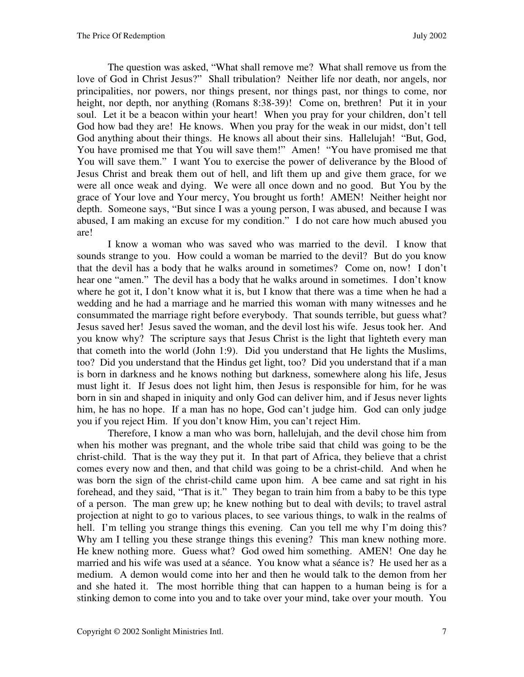The question was asked, "What shall remove me? What shall remove us from the love of God in Christ Jesus?" Shall tribulation? Neither life nor death, nor angels, nor principalities, nor powers, nor things present, nor things past, nor things to come, nor height, nor depth, nor anything (Romans 8:38-39)! Come on, brethren! Put it in your soul. Let it be a beacon within your heart! When you pray for your children, don't tell God how bad they are! He knows. When you pray for the weak in our midst, don't tell God anything about their things. He knows all about their sins. Hallelujah! "But, God, You have promised me that You will save them!" Amen! "You have promised me that You will save them." I want You to exercise the power of deliverance by the Blood of Jesus Christ and break them out of hell, and lift them up and give them grace, for we were all once weak and dying. We were all once down and no good. But You by the grace of Your love and Your mercy, You brought us forth! AMEN! Neither height nor depth. Someone says, "But since I was a young person, I was abused, and because I was abused, I am making an excuse for my condition." I do not care how much abused you are!

I know a woman who was saved who was married to the devil. I know that sounds strange to you. How could a woman be married to the devil? But do you know that the devil has a body that he walks around in sometimes? Come on, now! I don't hear one "amen." The devil has a body that he walks around in sometimes. I don't know where he got it, I don't know what it is, but I know that there was a time when he had a wedding and he had a marriage and he married this woman with many witnesses and he consummated the marriage right before everybody. That sounds terrible, but guess what? Jesus saved her! Jesus saved the woman, and the devil lost his wife. Jesus took her. And you know why? The scripture says that Jesus Christ is the light that lighteth every man that cometh into the world (John 1:9). Did you understand that He lights the Muslims, too? Did you understand that the Hindus get light, too? Did you understand that if a man is born in darkness and he knows nothing but darkness, somewhere along his life, Jesus must light it. If Jesus does not light him, then Jesus is responsible for him, for he was born in sin and shaped in iniquity and only God can deliver him, and if Jesus never lights him, he has no hope. If a man has no hope, God can't judge him. God can only judge you if you reject Him. If you don't know Him, you can't reject Him.

Therefore, I know a man who was born, hallelujah, and the devil chose him from when his mother was pregnant, and the whole tribe said that child was going to be the christ-child. That is the way they put it. In that part of Africa, they believe that a christ comes every now and then, and that child was going to be a christ-child. And when he was born the sign of the christ-child came upon him. A bee came and sat right in his forehead, and they said, "That is it." They began to train him from a baby to be this type of a person. The man grew up; he knew nothing but to deal with devils; to travel astral projection at night to go to various places, to see various things, to walk in the realms of hell. I'm telling you strange things this evening. Can you tell me why I'm doing this? Why am I telling you these strange things this evening? This man knew nothing more. He knew nothing more. Guess what? God owed him something. AMEN! One day he married and his wife was used at a séance. You know what a séance is? He used her as a medium. A demon would come into her and then he would talk to the demon from her and she hated it. The most horrible thing that can happen to a human being is for a stinking demon to come into you and to take over your mind, take over your mouth. You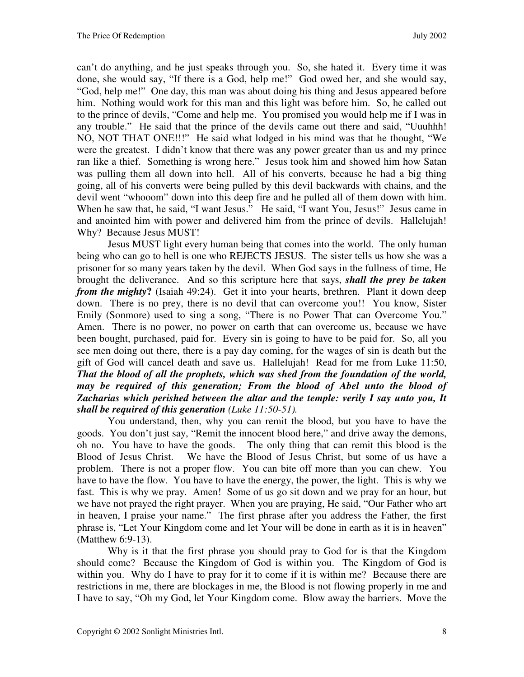can't do anything, and he just speaks through you. So, she hated it. Every time it was done, she would say, "If there is a God, help me!" God owed her, and she would say, "God, help me!" One day, this man was about doing his thing and Jesus appeared before him. Nothing would work for this man and this light was before him. So, he called out to the prince of devils, "Come and help me. You promised you would help me if I was in any trouble." He said that the prince of the devils came out there and said, "Uuuhhh! NO, NOT THAT ONE!!!" He said what lodged in his mind was that he thought, "We were the greatest. I didn't know that there was any power greater than us and my prince ran like a thief. Something is wrong here." Jesus took him and showed him how Satan was pulling them all down into hell. All of his converts, because he had a big thing going, all of his converts were being pulled by this devil backwards with chains, and the devil went "whooom" down into this deep fire and he pulled all of them down with him. When he saw that, he said, "I want Jesus." He said, "I want You, Jesus!" Jesus came in and anointed him with power and delivered him from the prince of devils. Hallelujah! Why? Because Jesus MUST!

Jesus MUST light every human being that comes into the world. The only human being who can go to hell is one who REJECTS JESUS.The sister tells us how she was a prisoner for so many years taken by the devil. When God says in the fullness of time, He brought the deliverance. And so this scripture here that says, *shall the prey be taken from the mighty*? (Isaiah 49:24). Get it into your hearts, brethren. Plant it down deep down. There is no prey, there is no devil that can overcome you!! You know, Sister Emily (Sonmore) used to sing a song, "There is no Power That can Overcome You." Amen. There is no power, no power on earth that can overcome us, because we have been bought, purchased, paid for. Every sin is going to have to be paid for. So, all you see men doing out there, there is a pay day coming, for the wages of sin is death but the gift of God will cancel death and save us. Hallelujah! Read for me from Luke 11:50, *That the blood of all the prophets, which was shed from the foundation of the world, may be required of this generation; From the blood of Abel unto the blood of Zacharias which perished between the altar and the temple: verily I say unto you, It shall be required of this generation (Luke 11:50-51).* 

You understand, then, why you can remit the blood, but you have to have the goods. You don't just say, "Remit the innocent blood here," and drive away the demons, oh no. You have to have the goods. The only thing that can remit this blood is the Blood of Jesus Christ. We have the Blood of Jesus Christ, but some of us have a problem. There is not a proper flow. You can bite off more than you can chew. You have to have the flow. You have to have the energy, the power, the light. This is why we fast. This is why we pray. Amen! Some of us go sit down and we pray for an hour, but we have not prayed the right prayer. When you are praying, He said, "Our Father who art in heaven, I praise your name." The first phrase after you address the Father, the first phrase is, "Let Your Kingdom come and let Your will be done in earth as it is in heaven" (Matthew 6:9-13).

Why is it that the first phrase you should pray to God for is that the Kingdom should come? Because the Kingdom of God is within you. The Kingdom of God is within you. Why do I have to pray for it to come if it is within me? Because there are restrictions in me, there are blockages in me, the Blood is not flowing properly in me and I have to say, "Oh my God, let Your Kingdom come. Blow away the barriers. Move the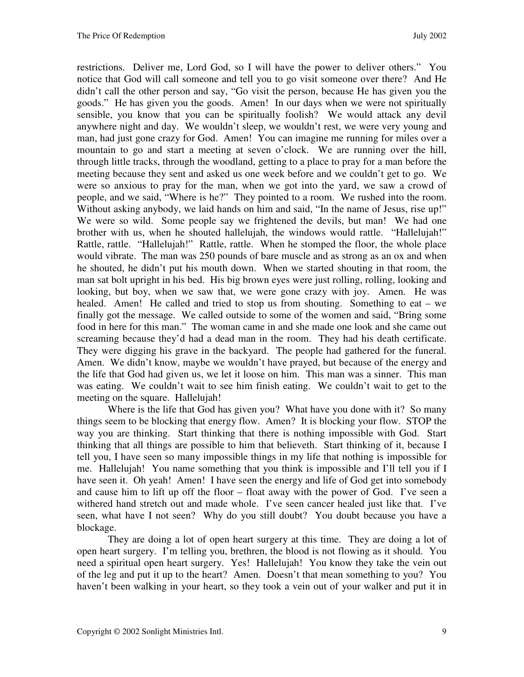restrictions. Deliver me, Lord God, so I will have the power to deliver others." You notice that God will call someone and tell you to go visit someone over there? And He didn't call the other person and say, "Go visit the person, because He has given you the goods." He has given you the goods. Amen! In our days when we were not spiritually sensible, you know that you can be spiritually foolish? We would attack any devil anywhere night and day. We wouldn't sleep, we wouldn't rest, we were very young and man, had just gone crazy for God. Amen! You can imagine me running for miles over a mountain to go and start a meeting at seven o'clock. We are running over the hill, through little tracks, through the woodland, getting to a place to pray for a man before the meeting because they sent and asked us one week before and we couldn't get to go. We were so anxious to pray for the man, when we got into the yard, we saw a crowd of people, and we said, "Where is he?" They pointed to a room. We rushed into the room. Without asking anybody, we laid hands on him and said, "In the name of Jesus, rise up!" We were so wild. Some people say we frightened the devils, but man! We had one brother with us, when he shouted hallelujah, the windows would rattle. "Hallelujah!" Rattle, rattle. "Hallelujah!" Rattle, rattle. When he stomped the floor, the whole place would vibrate. The man was 250 pounds of bare muscle and as strong as an ox and when he shouted, he didn't put his mouth down. When we started shouting in that room, the man sat bolt upright in his bed. His big brown eyes were just rolling, rolling, looking and looking, but boy, when we saw that, we were gone crazy with joy. Amen. He was healed. Amen! He called and tried to stop us from shouting. Something to eat – we finally got the message. We called outside to some of the women and said, "Bring some food in here for this man." The woman came in and she made one look and she came out screaming because they'd had a dead man in the room. They had his death certificate. They were digging his grave in the backyard. The people had gathered for the funeral. Amen. We didn't know, maybe we wouldn't have prayed, but because of the energy and the life that God had given us, we let it loose on him. This man was a sinner. This man was eating. We couldn't wait to see him finish eating. We couldn't wait to get to the meeting on the square. Hallelujah!

Where is the life that God has given you? What have you done with it? So many things seem to be blocking that energy flow. Amen? It is blocking your flow. STOP the way you are thinking. Start thinking that there is nothing impossible with God. Start thinking that all things are possible to him that believeth. Start thinking of it, because I tell you, I have seen so many impossible things in my life that nothing is impossible for me. Hallelujah! You name something that you think is impossible and I'll tell you if I have seen it. Oh yeah! Amen! I have seen the energy and life of God get into somebody and cause him to lift up off the floor – float away with the power of God. I've seen a withered hand stretch out and made whole. I've seen cancer healed just like that. I've seen, what have I not seen? Why do you still doubt? You doubt because you have a blockage.

They are doing a lot of open heart surgery at this time. They are doing a lot of open heart surgery. I'm telling you, brethren, the blood is not flowing as it should. You need a spiritual open heart surgery. Yes! Hallelujah! You know they take the vein out of the leg and put it up to the heart? Amen. Doesn't that mean something to you? You haven't been walking in your heart, so they took a vein out of your walker and put it in